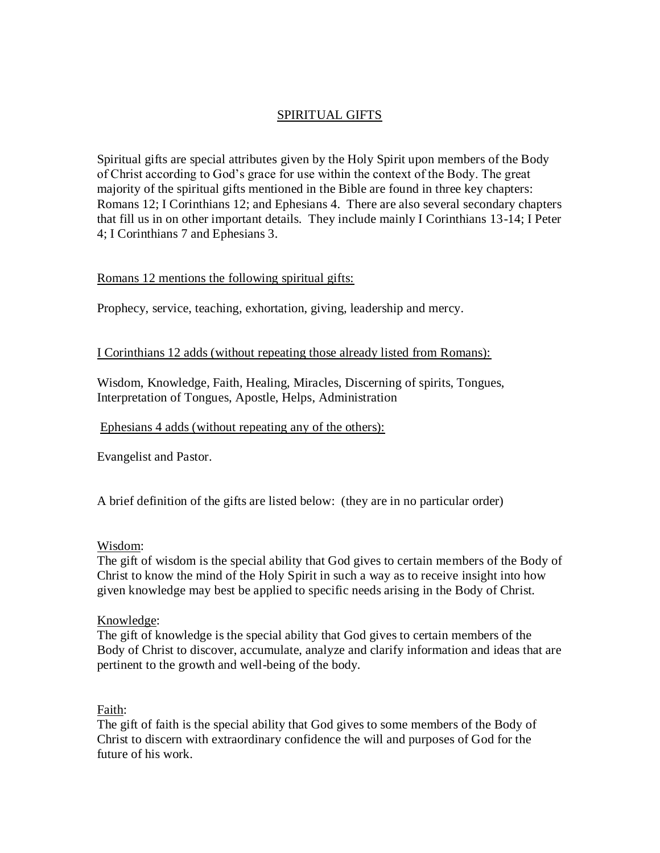# SPIRITUAL GIFTS

Spiritual gifts are special attributes given by the Holy Spirit upon members of the Body of Christ according to God's grace for use within the context of the Body. The great majority of the spiritual gifts mentioned in the Bible are found in three key chapters: Romans 12; I Corinthians 12; and Ephesians 4. There are also several secondary chapters that fill us in on other important details. They include mainly I Corinthians 13-14; I Peter 4; I Corinthians 7 and Ephesians 3.

## Romans 12 mentions the following spiritual gifts:

Prophecy, service, teaching, exhortation, giving, leadership and mercy.

### I Corinthians 12 adds (without repeating those already listed from Romans):

Wisdom, Knowledge, Faith, Healing, Miracles, Discerning of spirits, Tongues, Interpretation of Tongues, Apostle, Helps, Administration

### Ephesians 4 adds (without repeating any of the others):

Evangelist and Pastor.

A brief definition of the gifts are listed below: (they are in no particular order)

### Wisdom:

The gift of wisdom is the special ability that God gives to certain members of the Body of Christ to know the mind of the Holy Spirit in such a way as to receive insight into how given knowledge may best be applied to specific needs arising in the Body of Christ.

### Knowledge:

The gift of knowledge is the special ability that God gives to certain members of the Body of Christ to discover, accumulate, analyze and clarify information and ideas that are pertinent to the growth and well-being of the body.

### Faith:

The gift of faith is the special ability that God gives to some members of the Body of Christ to discern with extraordinary confidence the will and purposes of God for the future of his work.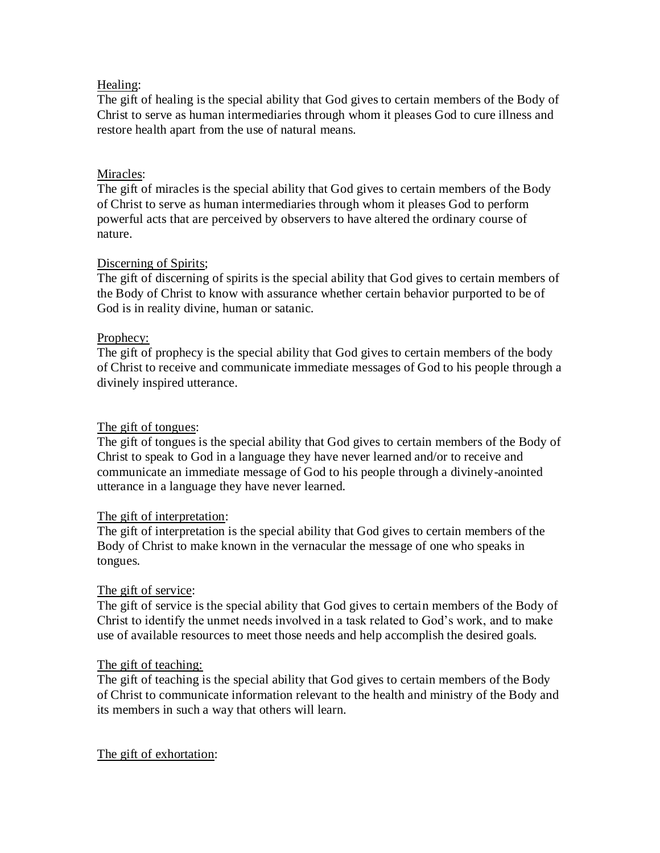### Healing:

The gift of healing is the special ability that God gives to certain members of the Body of Christ to serve as human intermediaries through whom it pleases God to cure illness and restore health apart from the use of natural means.

## Miracles:

The gift of miracles is the special ability that God gives to certain members of the Body of Christ to serve as human intermediaries through whom it pleases God to perform powerful acts that are perceived by observers to have altered the ordinary course of nature.

### Discerning of Spirits;

The gift of discerning of spirits is the special ability that God gives to certain members of the Body of Christ to know with assurance whether certain behavior purported to be of God is in reality divine, human or satanic.

## Prophecy:

The gift of prophecy is the special ability that God gives to certain members of the body of Christ to receive and communicate immediate messages of God to his people through a divinely inspired utterance.

### The gift of tongues:

The gift of tongues is the special ability that God gives to certain members of the Body of Christ to speak to God in a language they have never learned and/or to receive and communicate an immediate message of God to his people through a divinely-anointed utterance in a language they have never learned.

### The gift of interpretation:

The gift of interpretation is the special ability that God gives to certain members of the Body of Christ to make known in the vernacular the message of one who speaks in tongues.

### The gift of service:

The gift of service is the special ability that God gives to certain members of the Body of Christ to identify the unmet needs involved in a task related to God's work, and to make use of available resources to meet those needs and help accomplish the desired goals.

### The gift of teaching:

The gift of teaching is the special ability that God gives to certain members of the Body of Christ to communicate information relevant to the health and ministry of the Body and its members in such a way that others will learn.

### The gift of exhortation: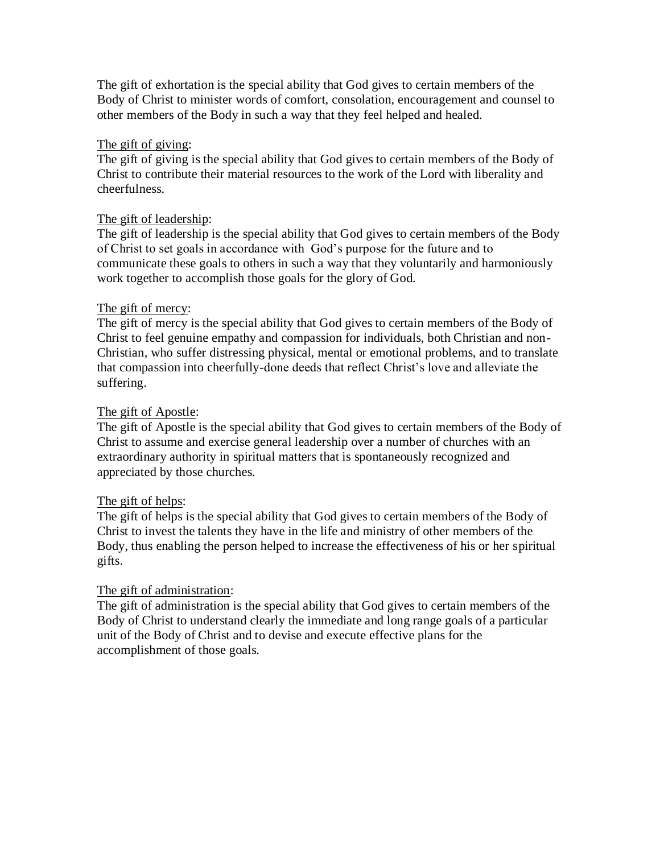The gift of exhortation is the special ability that God gives to certain members of the Body of Christ to minister words of comfort, consolation, encouragement and counsel to other members of the Body in such a way that they feel helped and healed.

### The gift of giving:

The gift of giving is the special ability that God gives to certain members of the Body of Christ to contribute their material resources to the work of the Lord with liberality and cheerfulness.

## The gift of leadership:

The gift of leadership is the special ability that God gives to certain members of the Body of Christ to set goals in accordance with God's purpose for the future and to communicate these goals to others in such a way that they voluntarily and harmoniously work together to accomplish those goals for the glory of God.

### The gift of mercy:

The gift of mercy is the special ability that God gives to certain members of the Body of Christ to feel genuine empathy and compassion for individuals, both Christian and non-Christian, who suffer distressing physical, mental or emotional problems, and to translate that compassion into cheerfully-done deeds that reflect Christ's love and alleviate the suffering.

## The gift of Apostle:

The gift of Apostle is the special ability that God gives to certain members of the Body of Christ to assume and exercise general leadership over a number of churches with an extraordinary authority in spiritual matters that is spontaneously recognized and appreciated by those churches.

## The gift of helps:

The gift of helps is the special ability that God gives to certain members of the Body of Christ to invest the talents they have in the life and ministry of other members of the Body, thus enabling the person helped to increase the effectiveness of his or her spiritual gifts.

### The gift of administration:

The gift of administration is the special ability that God gives to certain members of the Body of Christ to understand clearly the immediate and long range goals of a particular unit of the Body of Christ and to devise and execute effective plans for the accomplishment of those goals.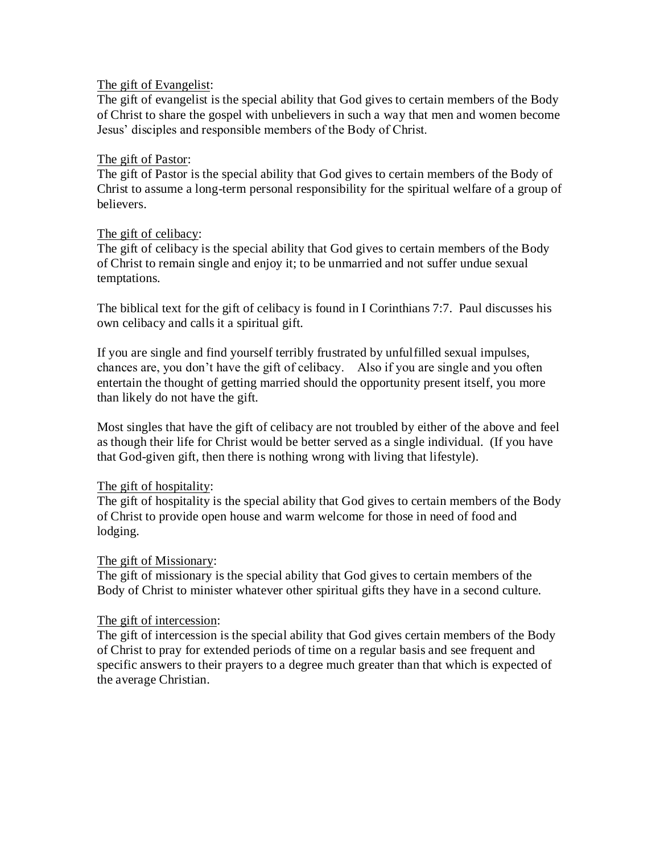### The gift of Evangelist:

The gift of evangelist is the special ability that God gives to certain members of the Body of Christ to share the gospel with unbelievers in such a way that men and women become Jesus' disciples and responsible members of the Body of Christ.

#### The gift of Pastor:

The gift of Pastor is the special ability that God gives to certain members of the Body of Christ to assume a long-term personal responsibility for the spiritual welfare of a group of believers.

### The gift of celibacy:

The gift of celibacy is the special ability that God gives to certain members of the Body of Christ to remain single and enjoy it; to be unmarried and not suffer undue sexual temptations.

The biblical text for the gift of celibacy is found in I Corinthians 7:7. Paul discusses his own celibacy and calls it a spiritual gift.

If you are single and find yourself terribly frustrated by unfulfilled sexual impulses, chances are, you don't have the gift of celibacy. Also if you are single and you often entertain the thought of getting married should the opportunity present itself, you more than likely do not have the gift.

Most singles that have the gift of celibacy are not troubled by either of the above and feel as though their life for Christ would be better served as a single individual. (If you have that God-given gift, then there is nothing wrong with living that lifestyle).

### The gift of hospitality:

The gift of hospitality is the special ability that God gives to certain members of the Body of Christ to provide open house and warm welcome for those in need of food and lodging.

### The gift of Missionary:

The gift of missionary is the special ability that God gives to certain members of the Body of Christ to minister whatever other spiritual gifts they have in a second culture.

#### The gift of intercession:

The gift of intercession is the special ability that God gives certain members of the Body of Christ to pray for extended periods of time on a regular basis and see frequent and specific answers to their prayers to a degree much greater than that which is expected of the average Christian.